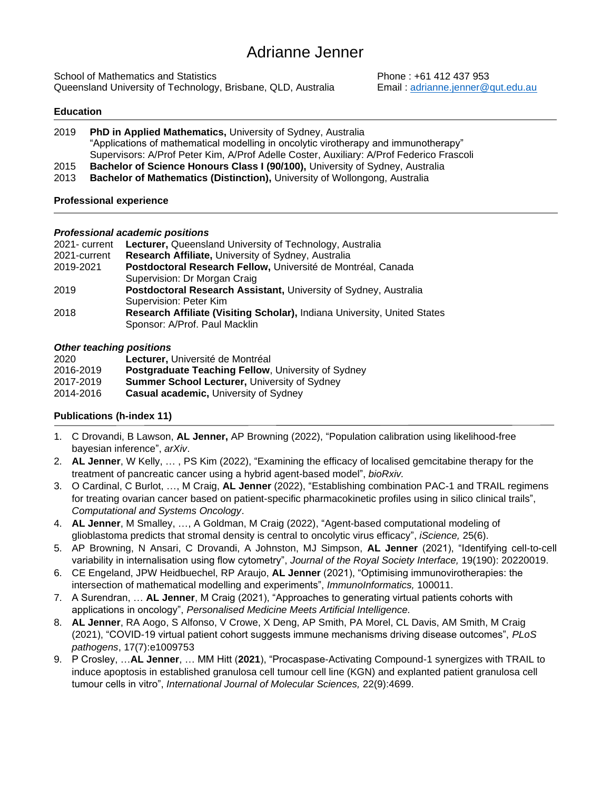School of Mathematics and Statistics **Phone : +61 412 437 953** Queensland University of Technology, Brisbane, QLD, Australia Email : [adrianne.jenner@qut.edu.au](mailto:adrianne.jenner@qut.edu.au)

## **Education**

- 2019 **PhD in Applied Mathematics,** University of Sydney, Australia "Applications of mathematical modelling in oncolytic virotherapy and immunotherapy" Supervisors: A/Prof Peter Kim, A/Prof Adelle Coster, Auxiliary: A/Prof Federico Frascoli 2015 **Bachelor of Science Honours Class I (90/100),** University of Sydney, Australia
- 2013 **Bachelor of Mathematics (Distinction),** University of Wollongong, Australia

## **Professional experience**

## *Professional academic positions*

| 2021- current | <b>Lecturer, Queensland University of Technology, Australia</b>          |
|---------------|--------------------------------------------------------------------------|
| 2021-current  | Research Affiliate, University of Sydney, Australia                      |
| 2019-2021     | Postdoctoral Research Fellow, Université de Montréal, Canada             |
|               | Supervision: Dr Morgan Craig                                             |
| 2019          | Postdoctoral Research Assistant, University of Sydney, Australia         |
|               | Supervision: Peter Kim                                                   |
| 2018          | Research Affiliate (Visiting Scholar), Indiana University, United States |
|               | Sponsor: A/Prof. Paul Macklin                                            |
|               |                                                                          |

## *Other teaching positions*

| 2020      | Lecturer, Université de Montréal                          |
|-----------|-----------------------------------------------------------|
| 2016-2019 | <b>Postgraduate Teaching Fellow, University of Sydney</b> |
| 2017-2019 | <b>Summer School Lecturer, University of Sydney</b>       |
| 2014-2016 | <b>Casual academic, University of Sydney</b>              |

# **Publications (h-index 11)**

- 1. C Drovandi, B Lawson, **AL Jenner,** AP Browning (2022), "Population calibration using likelihood-free bayesian inference", *arXiv*.
- 2. **AL Jenner**, W Kelly, … , PS Kim (2022), "Examining the efficacy of localised gemcitabine therapy for the treatment of pancreatic cancer using a hybrid agent-based model", *bioRxiv.*
- 3. O Cardinal, C Burlot, …, M Craig, **AL Jenner** (2022), "Establishing combination PAC-1 and TRAIL regimens for treating ovarian cancer based on patient-specific pharmacokinetic profiles using in silico clinical trails", *Computational and Systems Oncology*.
- 4. **AL Jenner**, M Smalley, …, A Goldman, M Craig (2022), "Agent-based computational modeling of glioblastoma predicts that stromal density is central to oncolytic virus efficacy", *iScience,* 25(6).
- 5. AP Browning, N Ansari, C Drovandi, A Johnston, MJ Simpson, **AL Jenner** (2021), "Identifying cell-to-cell variability in internalisation using flow cytometry", *Journal of the Royal Society Interface,* 19(190): 20220019.
- 6. CE Engeland, JPW Heidbuechel, RP Araujo, **AL Jenner** (2021), "Optimising immunovirotherapies: the intersection of mathematical modelling and experiments", *ImmunoInformatics,* 100011.
- 7. A Surendran, … **AL Jenner**, M Craig (2021), "Approaches to generating virtual patients cohorts with applications in oncology", *Personalised Medicine Meets Artificial Intelligence.*
- 8. **AL Jenner**, RA Aogo, S Alfonso, V Crowe, X Deng, AP Smith, PA Morel, CL Davis, AM Smith, M Craig (2021), "COVID-19 virtual patient cohort suggests immune mechanisms driving disease outcomes", *PLoS pathogens*, 17(7):e1009753
- 9. P Crosley, …**AL Jenner**, … MM Hitt (**2021**), "Procaspase-Activating Compound-1 synergizes with TRAIL to induce apoptosis in established granulosa cell tumour cell line (KGN) and explanted patient granulosa cell tumour cells in vitro", *International Journal of Molecular Sciences,* 22(9):4699.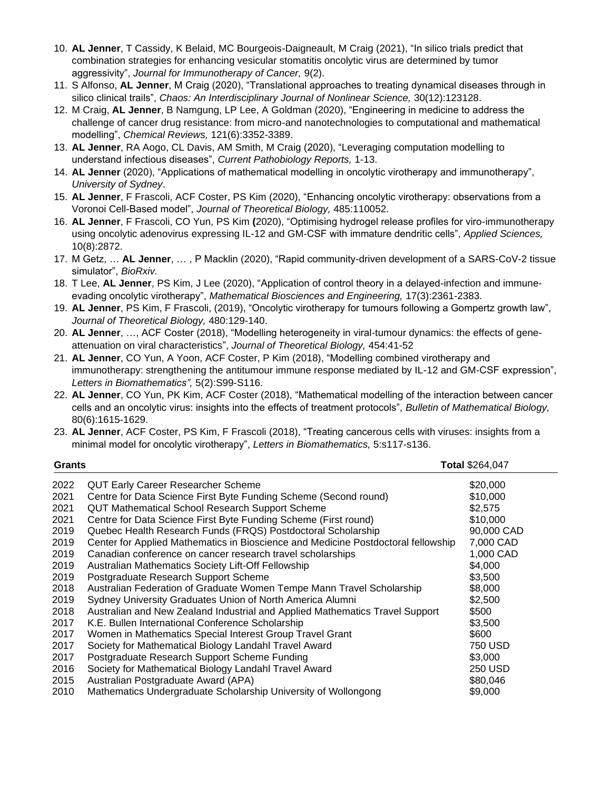- 10. **AL Jenner**, T Cassidy, K Belaid, MC Bourgeois-Daigneault, M Craig (2021), "In silico trials predict that combination strategies for enhancing vesicular stomatitis oncolytic virus are determined by tumor aggressivity", *Journal for Immunotherapy of Cancer,* 9(2).
- 11. S Alfonso, **AL Jenner**, M Craig (2020), "Translational approaches to treating dynamical diseases through in silico clinical trails", *Chaos: An Interdisciplinary Journal of Nonlinear Science,* 30(12):123128.
- 12. M Craig, **AL Jenner**, B Namgung, LP Lee, A Goldman (2020), "Engineering in medicine to address the challenge of cancer drug resistance: from micro-and nanotechnologies to computational and mathematical modelling", *Chemical Reviews,* 121(6):3352-3389.
- 13. **AL Jenner**, RA Aogo, CL Davis, AM Smith, M Craig (2020), "Leveraging computation modelling to understand infectious diseases", *Current Pathobiology Reports,* 1-13.
- 14. **AL Jenner** (2020), "Applications of mathematical modelling in oncolytic virotherapy and immunotherapy", *University of Sydney*.
- 15. **AL Jenner**, F Frascoli, ACF Coster, PS Kim (2020), "Enhancing oncolytic virotherapy: observations from a Voronoi Cell-Based model", *Journal of Theoretical Biology,* 485:110052.
- 16. **AL Jenner**, F Frascoli, CO Yun, PS Kim **(**2020), "Optimising hydrogel release profiles for viro-immunotherapy using oncolytic adenovirus expressing IL-12 and GM-CSF with immature dendritic cells", *Applied Sciences,*  10(8):2872.
- 17. M Getz, … **AL Jenner**, … , P Macklin (2020), "Rapid community-driven development of a SARS-CoV-2 tissue simulator", *BioRxiv.*
- 18. T Lee, **AL Jenner**, PS Kim, J Lee (2020), "Application of control theory in a delayed-infection and immuneevading oncolytic virotherapy", *Mathematical Biosciences and Engineering,* 17(3):2361-2383.
- 19. **AL Jenner**, PS Kim, F Frascoli, (2019), "Oncolytic virotherapy for tumours following a Gompertz growth law", *Journal of Theoretical Biology,* 480:129-140.
- 20. **AL Jenner**, …, ACF Coster (2018), "Modelling heterogeneity in viral-tumour dynamics: the effects of geneattenuation on viral characteristics", *Journal of Theoretical Biology,* 454:41-52
- 21. **AL Jenner**, CO Yun, A Yoon, ACF Coster, P Kim (2018), "Modelling combined virotherapy and immunotherapy: strengthening the antitumour immune response mediated by IL-12 and GM-CSF expression", *Letters in Biomathematics",* 5(2):S99-S116.
- 22. **AL Jenner**, CO Yun, PK Kim, ACF Coster (2018), "Mathematical modelling of the interaction between cancer cells and an oncolytic virus: insights into the effects of treatment protocols", *Bulletin of Mathematical Biology,*  80(6):1615-1629.
- 23. **AL Jenner**, ACF Coster, PS Kim, F Frascoli (2018), "Treating cancerous cells with viruses: insights from a minimal model for oncolytic virotherapy", *Letters in Biomathematics,* 5:s117-s136.

| Grants | Total \$264,047                                                                   |                |
|--------|-----------------------------------------------------------------------------------|----------------|
| 2022   | <b>QUT Early Career Researcher Scheme</b>                                         | \$20,000       |
| 2021   | Centre for Data Science First Byte Funding Scheme (Second round)                  | \$10,000       |
| 2021   | <b>QUT Mathematical School Research Support Scheme</b>                            | \$2,575        |
| 2021   | Centre for Data Science First Byte Funding Scheme (First round)                   | \$10,000       |
| 2019   | Quebec Health Research Funds (FRQS) Postdoctoral Scholarship                      | 90,000 CAD     |
| 2019   | Center for Applied Mathematics in Bioscience and Medicine Postdoctoral fellowship | 7,000 CAD      |
| 2019   | Canadian conference on cancer research travel scholarships                        | 1,000 CAD      |
| 2019   | Australian Mathematics Society Lift-Off Fellowship                                | \$4,000        |
| 2019   | Postgraduate Research Support Scheme                                              | \$3,500        |
| 2018   | Australian Federation of Graduate Women Tempe Mann Travel Scholarship             | \$8,000        |
| 2019   | Sydney University Graduates Union of North America Alumni                         | \$2,500        |
| 2018   | Australian and New Zealand Industrial and Applied Mathematics Travel Support      | \$500          |
| 2017   | K.E. Bullen International Conference Scholarship                                  | \$3,500        |
| 2017   | Women in Mathematics Special Interest Group Travel Grant                          | \$600          |
| 2017   | Society for Mathematical Biology Landahl Travel Award                             | 750 USD        |
| 2017   | Postgraduate Research Support Scheme Funding                                      | \$3,000        |
| 2016   | Society for Mathematical Biology Landahl Travel Award                             | <b>250 USD</b> |
| 2015   | Australian Postgraduate Award (APA)                                               | \$80,046       |
| 2010   | Mathematics Undergraduate Scholarship University of Wollongong                    | \$9,000        |